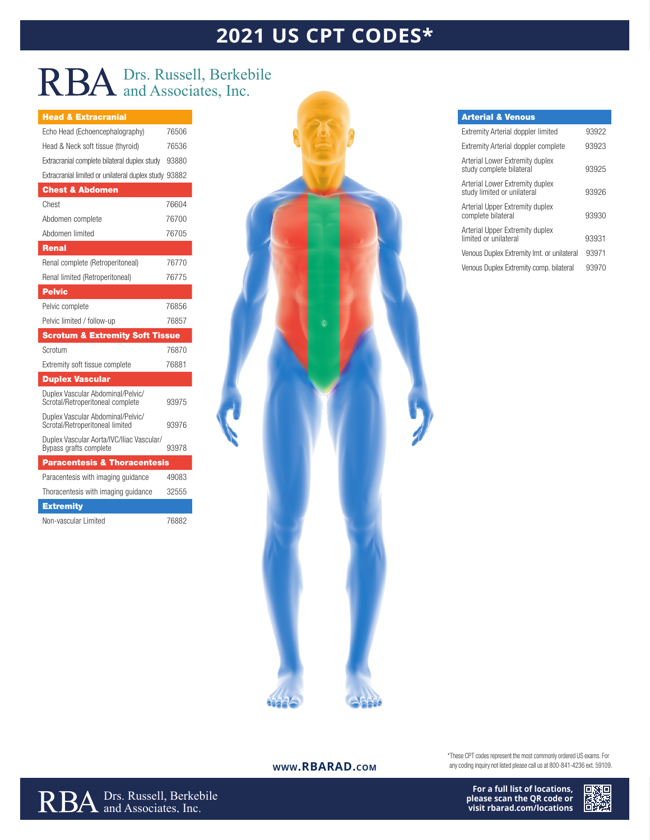# **2021 US CPT CODES\***

## Drs. Russell, Berkebile and Associates, Inc.

### Head & Extracranial

| Echo Head (Echoencephalography)                                       | 76506 |
|-----------------------------------------------------------------------|-------|
| Head & Neck soft tissue (thyroid)                                     | 76536 |
| Extracranial complete bilateral duplex study                          | 93880 |
| Extracranial limited or unilateral duplex study 93882                 |       |
| <b>Chest &amp; Abdomen</b>                                            |       |
| Chest                                                                 | 76604 |
| Abdomen complete                                                      | 76700 |
| Abdomen limited                                                       | 76705 |
| <b>Renal</b>                                                          |       |
| Renal complete (Retroperitoneal)                                      | 76770 |
| Renal limited (Retroperitoneal)                                       | 76775 |
| <b>Pelvic</b>                                                         |       |
| Pelvic complete                                                       | 76856 |
| Pelvic limited / follow-up                                            | 76857 |
|                                                                       |       |
| <b>Scrotum &amp; Extremity Soft Tissue</b>                            |       |
| Scrotum                                                               | 76870 |
| Extremity soft tissue complete                                        | 76881 |
| <b>Duplex Vascular</b>                                                |       |
| Duplex Vascular Abdominal/Pelvic/<br>Scrotal/Retroperitoneal complete | 93975 |
| Duplex Vascular Abdominal/Pelvic/<br>Scrotal/Retroperitoneal limited  | 93976 |
| Duplex Vascular Aorta/IVC/Iliac Vascular/<br>Bypass grafts complete   | 93978 |
| <b>Paracentesis &amp; Thoracentesis</b>                               |       |
| Paracentesis with imaging guidance                                    | 49083 |
| Thoracentesis with imaging guidance                                   | 32555 |
| <b>Extremity</b>                                                      |       |



#### Arterial & Venous

| Extremity Arterial doppler limited                             | 93922 |
|----------------------------------------------------------------|-------|
| <b>Extremity Arterial doppler complete</b>                     | 93923 |
| Arterial Lower Extremity duplex<br>study complete bilateral    | 93925 |
| Arterial Lower Extremity duplex<br>study limited or unilateral | 93926 |
| Arterial Upper Extremity duplex<br>complete bilateral          | 93930 |
| Arterial Upper Extremity duplex<br>limited or unilateral       | 93931 |
| Venous Duplex Extremity Imt. or unilateral                     | 93971 |
| Venous Duplex Extremity comp. bilateral                        | 93970 |

#### **www.RBARAD.com**

Drs. Russell, Berkebile and Associates, Inc.

\*These CPT codes represent the most commonly ordered US exams. For any coding inquiry not listed please call us at 800-841-4236 ext. 59109.